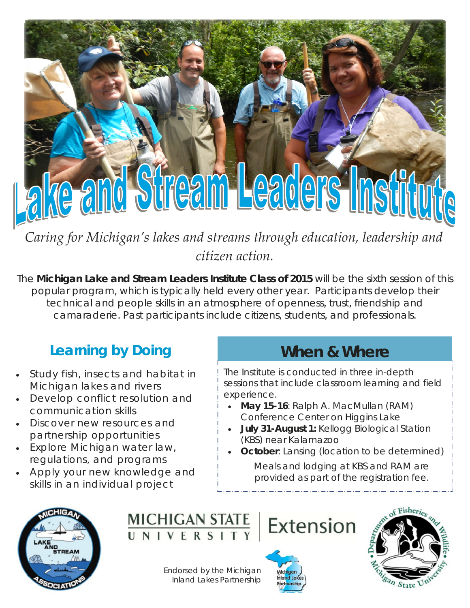# re and Stream Leaders Inst

*Caring for Michigan's lakes and streams through education, leadership and citizen action.*

The **Michigan Lake and Stream Leaders Institute Class of 2015** will be the sixth session of this popular program, which is typically held every other year. Participants develop their technical and people skills in an atmosphere of openness, trust, friendship and camaraderie. Past participants include citizens, students, and professionals.

### **Learning by Doing**

- Study fish, insects and habitat in Michigan lakes and rivers
- Develop conflict resolution and communication skills
- Discover new resources and partnership opportunities
- Explore Michigan water law, regulations, and programs
- Apply your new knowledge and skills in an individual project

#### **When & Where**

The Institute is conducted in three in-depth sessions that include classroom learning and field experience.

- **May 15-16**: Ralph A. MacMullan (RAM) Conference Center on Higgins Lake
- **July 31-August 1:** Kellogg Biological Station (KBS) near Kalamazoo
- **October:** Lansing (location to be determined)

*Meals and lodging at KBS and RAM are provided as part of the registration fee.* 





Endorsed by the Michigan Inland Lakes Partnership



Extension